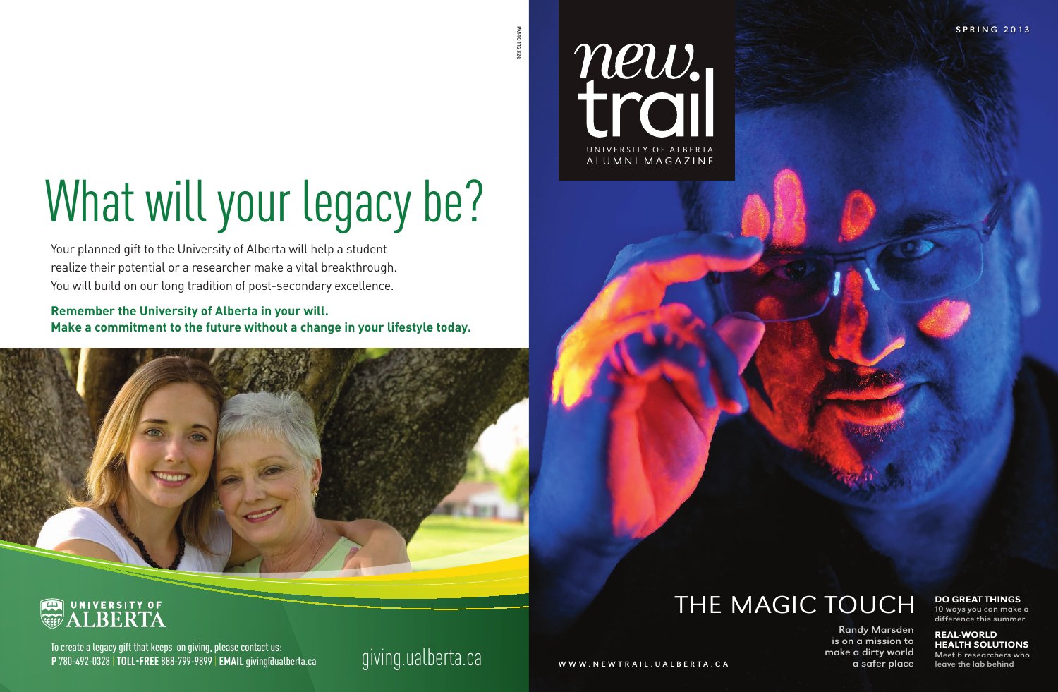

# THE MAGIC TOUCH

Randy Marsden is on a mission to make a dirty world a safer place

#### Do Great Things

10 ways you can make a difference this summer

#### **REAL-WORLD HEALTH SOLUTIONS**

Meet 6 researchers who leave the lab behind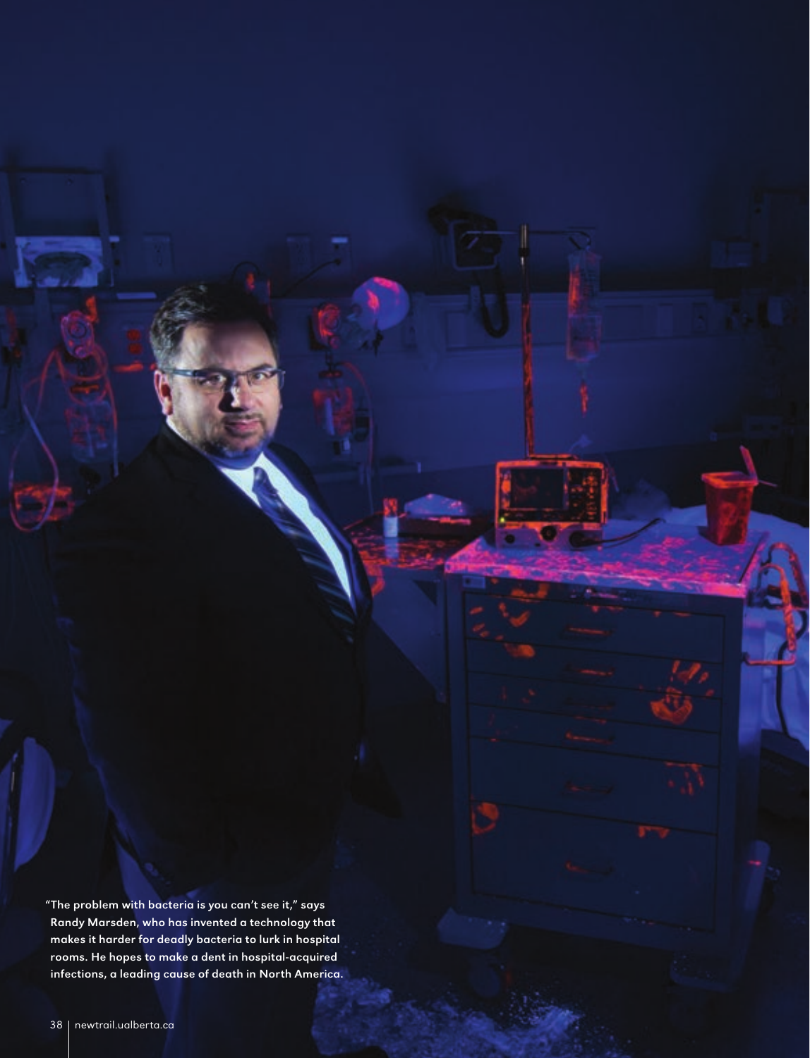"The problem with bacteria is you can't see it," says Randy Marsden, who has invented a technology that makes it harder for deadly bacteria to lurk in hospital rooms. He hopes to make a dent in hospital-acquired infections, a leading cause of death in North America.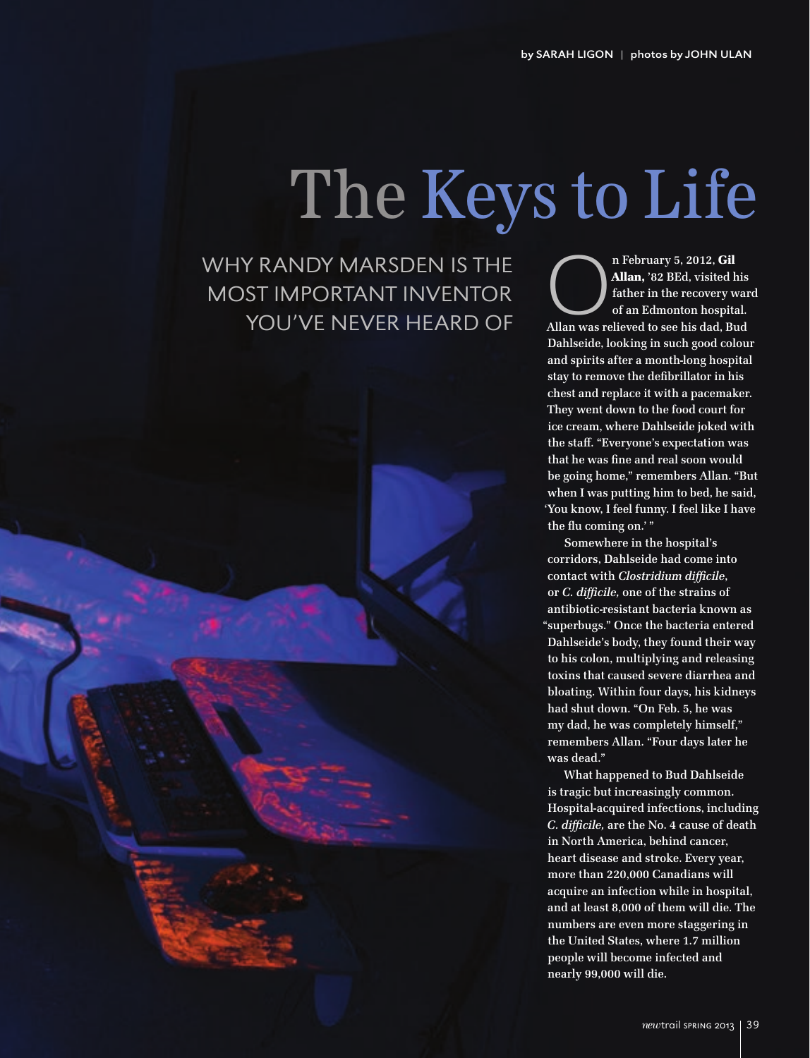# The Keys to Life

Why Randy Marsden is the most important inventor you've never heard of

n February 5, 2012, Gil<br> **Allan, '82 BEd**, visited his<br>
father in the recovery war<br>
of an Edmonton hospital.<br>
Allan was relieved to see his dad, Bud Allan, '82 BEd, visited his father in the recovery ward of an Edmonton hospital. Dahlseide, looking in such good colour and spirits after a month-long hospital stay to remove the defibrillator in his chest and replace it with a pacemaker. They went down to the food court for ice cream, where Dahlseide joked with the staff. "Everyone's expectation was that he was fine and real soon would be going home," remembers Allan. "But when I was putting him to bed, he said, 'You know, I feel funny. I feel like I have the flu coming on.' "

Somewhere in the hospital's corridors, Dahlseide had come into contact with *Clostridium difficile*, or *C. difficile,* one of the strains of antibiotic-resistant bacteria known as "superbugs." Once the bacteria entered Dahlseide's body, they found their way to his colon, multiplying and releasing toxins that caused severe diarrhea and bloating. Within four days, his kidneys had shut down. "On Feb. 5, he was my dad, he was completely himself," remembers Allan. "Four days later he was dead."

What happened to Bud Dahlseide is tragic but increasingly common. Hospital-acquired infections, including *C. difficile,* are the No. 4 cause of death in North America, behind cancer, heart disease and stroke. Every year, more than 220,000 Canadians will acquire an infection while in hospital, and at least 8,000 of them will die. The numbers are even more staggering in the United States, where 1.7 million people will become infected and nearly 99,000 will die.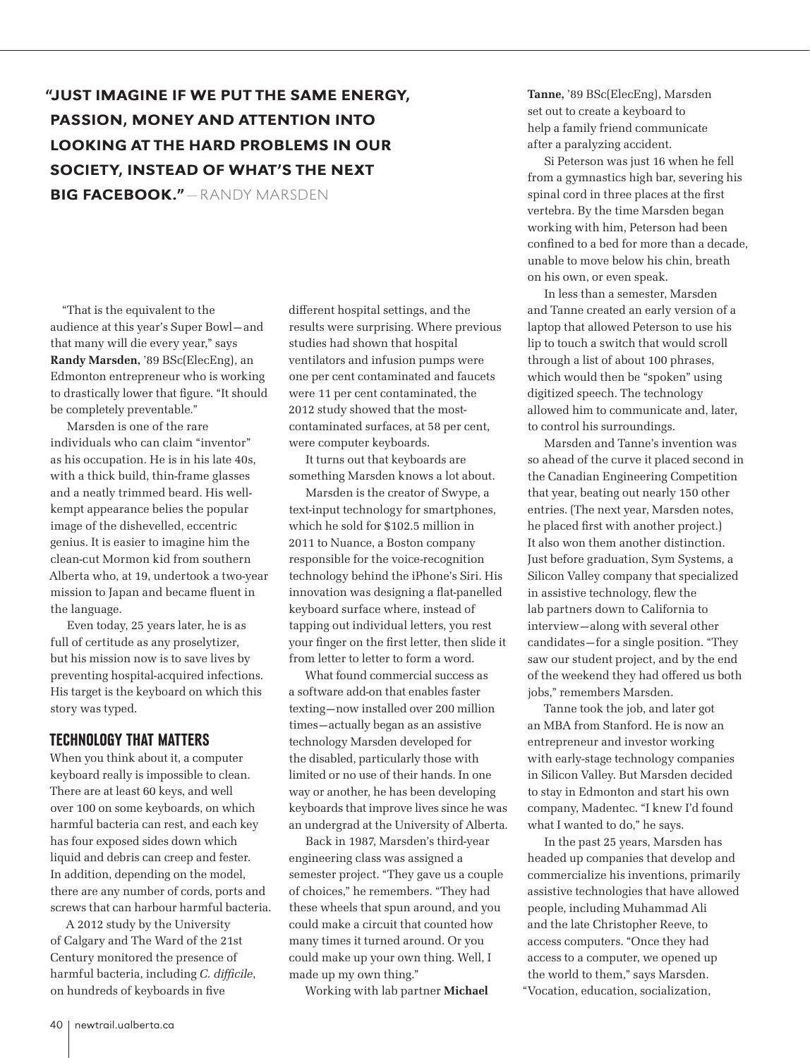## "Just imagine if we put the same energy, passion, money and attention into looking at the hard problems in our society, instead of what's the next big Facebook." — Randy Marsden

"That is the equivalent to the audience at this year's Super Bowl — and that many will die every year," says Randy Marsden, '89 BSc(ElecEng), an Edmonton entrepreneur who is working to drastically lower that figure. "It should be completely preventable."

Marsden is one of the rare individuals who can claim "inventor" as his occupation. He is in his late 40s, with a thick build, thin-frame glasses and a neatly trimmed beard. His wellkempt appearance belies the popular image of the dishevelled, eccentric genius. It is easier to imagine him the clean-cut Mormon kid from southern Alberta who, at 19, undertook a two-year mission to Japan and became fluent in the language.

Even today, 25 years later, he is as full of certitude as any proselytizer, but his mission now is to save lives by preventing hospital-acquired infections. His target is the keyboard on which this story was typed.

#### Technology that Matters

When you think about it, a computer keyboard really is impossible to clean. There are at least 60 keys, and well over 100 on some keyboards, on which harmful bacteria can rest, and each key has four exposed sides down which liquid and debris can creep and fester. In addition, depending on the model, there are any number of cords, ports and screws that can harbour harmful bacteria.

A 2012 study by the University of Calgary and The Ward of the 21st Century monitored the presence of harmful bacteria, including *C. difficile*, on hundreds of keyboards in five

different hospital settings, and the results were surprising. Where previous studies had shown that hospital ventilators and infusion pumps were one per cent contaminated and faucets were 11 per cent contaminated, the 2012 study showed that the mostcontaminated surfaces, at 58 per cent, were computer keyboards.

It turns out that keyboards are something Marsden knows a lot about.

Marsden is the creator of Swype, a text-input technology for smartphones, which he sold for \$102.5 million in 2011 to Nuance, a Boston company responsible for the voice-recognition technology behind the iPhone's Siri. His innovation was designing a flat-panelled keyboard surface where, instead of tapping out individual letters, you rest your finger on the first letter, then slide it from letter to letter to form a word.

What found commercial success as a software add-on that enables faster texting — now installed over 200 million times — actually began as an assistive technology Marsden developed for the disabled, particularly those with limited or no use of their hands. In one way or another, he has been developing keyboards that improve lives since he was an undergrad at the University of Alberta.

Back in 1987, Marsden's third-year engineering class was assigned a semester project. "They gave us a couple of choices," he remembers. "They had these wheels that spun around, and you could make a circuit that counted how many times it turned around. Or you could make up your own thing. Well, I made up my own thing."

Working with lab partner Michael

Tanne, '89 BSc(ElecEng), Marsden set out to create a keyboard to help a family friend communicate after a paralyzing accident.

Si Peterson was just 16 when he fell from a gymnastics high bar, severing his spinal cord in three places at the first vertebra. By the time Marsden began working with him, Peterson had been confined to a bed for more than a decade, unable to move below his chin, breath on his own, or even speak.

In less than a semester, Marsden and Tanne created an early version of a laptop that allowed Peterson to use his lip to touch a switch that would scroll through a list of about 100 phrases, which would then be "spoken" using digitized speech. The technology allowed him to communicate and, later, to control his surroundings.

Marsden and Tanne's invention was so ahead of the curve it placed second in the Canadian Engineering Competition that year, beating out nearly 150 other entries. (The next year, Marsden notes, he placed first with another project.) It also won them another distinction. Just before graduation, Sym Systems, a Silicon Valley company that specialized in assistive technology, flew the lab partners down to California to interview — along with several other candidates — for a single position. "They saw our student project, and by the end of the weekend they had offered us both jobs," remembers Marsden.

Tanne took the job, and later got an MBA from Stanford. He is now an entrepreneur and investor working with early-stage technology companies in Silicon Valley. But Marsden decided to stay in Edmonton and start his own company, Madentec. "I knew I'd found what I wanted to do," he says.

In the past 25 years, Marsden has headed up companies that develop and commercialize his inventions, primarily assistive technologies that have allowed people, including Muhammad Ali and the late Christopher Reeve, to access computers. "Once they had access to a computer, we opened up the world to them," says Marsden. "Vocation, education, socialization,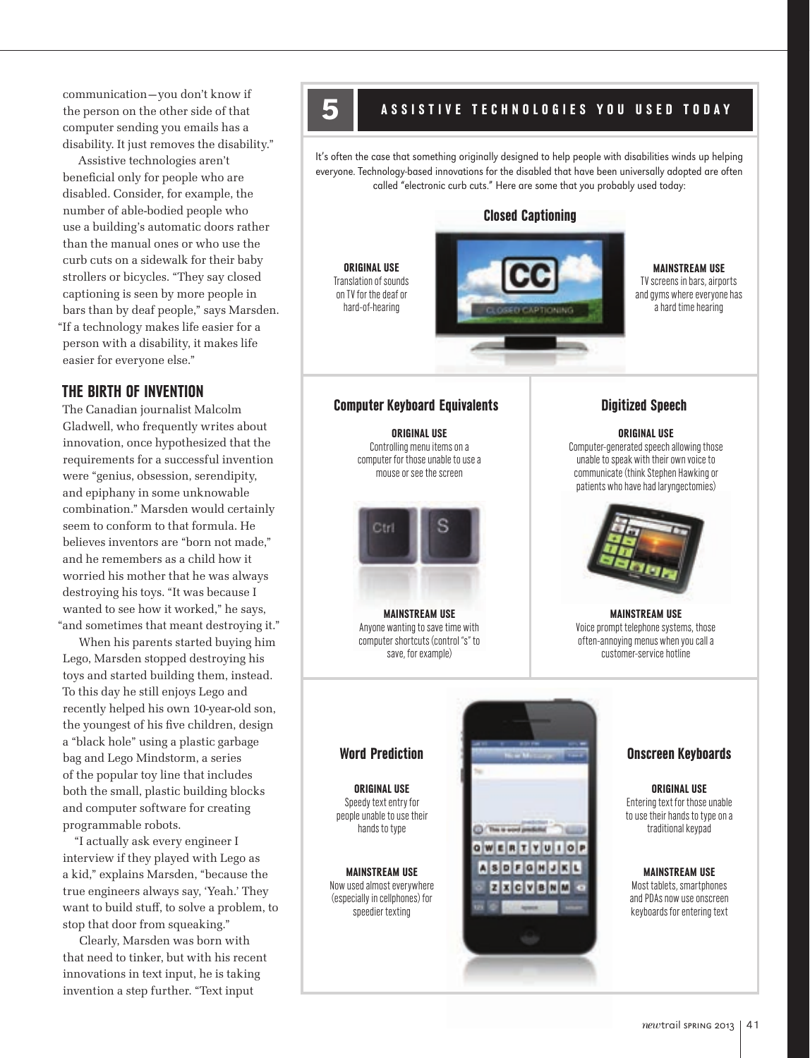communication — you don't know if the person on the other side of that computer sending you emails has a disability. It just removes the disability."

Assistive technologies aren't beneficial only for people who are disabled. Consider, for example, the number of able-bodied people who use a building's automatic doors rather than the manual ones or who use the curb cuts on a sidewalk for their baby strollers or bicycles. "They say closed captioning is seen by more people in bars than by deaf people," says Marsden. "If a technology makes life easier for a person with a disability, it makes life easier for everyone else."

### The Birth of Invention

The Canadian journalist Malcolm Gladwell, who frequently writes about innovation, once hypothesized that the requirements for a successful invention were "genius, obsession, serendipity, and epiphany in some unknowable combination." Marsden would certainly seem to conform to that formula. He believes inventors are "born not made," and he remembers as a child how it worried his mother that he was always destroying his toys. "It was because I wanted to see how it worked," he says, "and sometimes that meant destroying it."

When his parents started buying him Lego, Marsden stopped destroying his toys and started building them, instead. To this day he still enjoys Lego and recently helped his own 10-year-old son, the youngest of his five children, design a "black hole" using a plastic garbage bag and Lego Mindstorm, a series of the popular toy line that includes both the small, plastic building blocks and computer software for creating programmable robots.

"I actually ask every engineer I interview if they played with Lego as a kid," explains Marsden, "because the true engineers always say, 'Yeah.' They want to build stuff, to solve a problem, to stop that door from squeaking."

Clearly, Marsden was born with that need to tinker, but with his recent innovations in text input, he is taking invention a step further. "Text input

## ASSISTIVE TECHNOLOGIES YOU USED TODAY

It's often the case that something originally designed to help people with disabilities winds up helping everyone. Technology-based innovations for the disabled that have been universally adopted are often called "electronic curb cuts." Here are some that you probably used today:

Closed Captioning

**MAINSTREAM USE** TV screens in bars, airports and gyms where everyone has a hard time hearing

#### Computer Keyboard Equivalents

Original Use Translation of sounds on TV for the deaf or hard-of-hearing

> Original Use Controlling menu items on a computer for those unable to use a mouse or see the screen



**MAINSTREAM USE** Anyone wanting to save time with computer shortcuts (control "s" to save, for example)

#### Digitized Speech

original Use

Computer-generated speech allowing those unable to speak with their own voice to communicate (think Stephen Hawking or patients who have had laryngectomies)



**MAINSTREAM USE** Voice prompt telephone systems, those often-annoying menus when you call a customer-service hotline

Original Use Speedy text entry for people unable to use their hands to type

**MAINSTREAM USE** Now used almost everywhere (especially in cellphones) for speedier texting



Original Use Entering text for those unable to use their hands to type on a traditional keypad

#### **MAINSTREAM USE**

Most tablets, smartphones and PDAs now use onscreen keyboards for entering text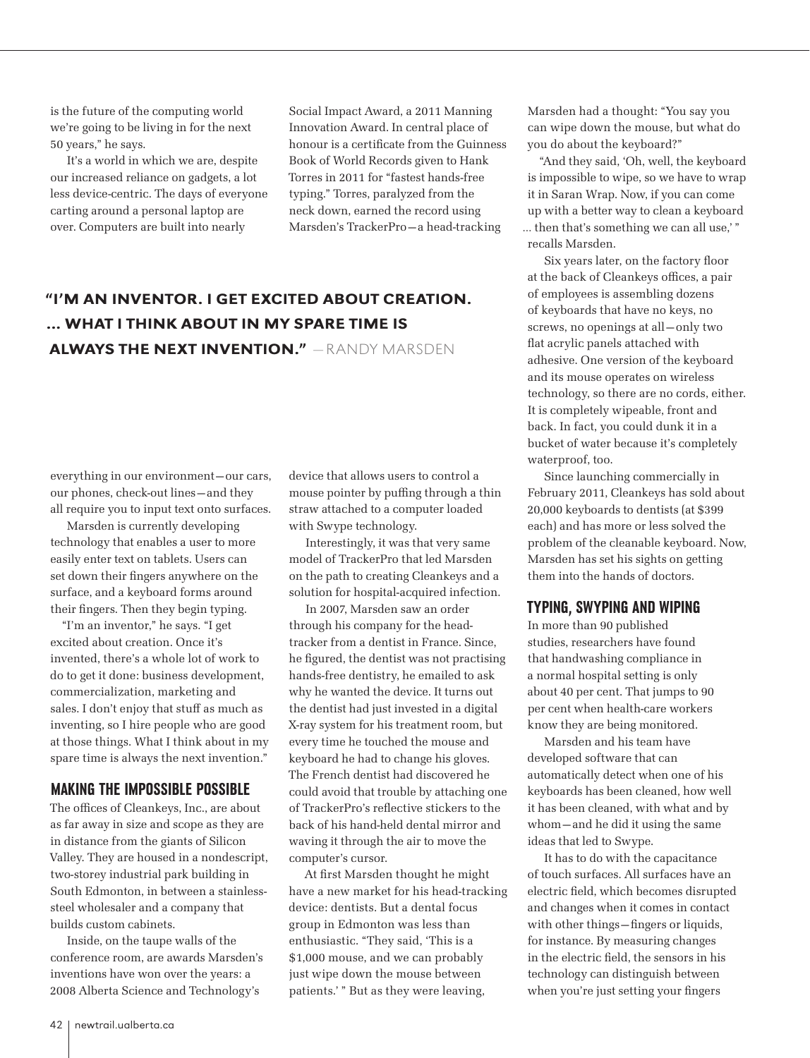is the future of the computing world we're going to be living in for the next 50 years," he says.

It's a world in which we are, despite our increased reliance on gadgets, a lot less device-centric. The days of everyone carting around a personal laptop are over. Computers are built into nearly

Social Impact Award, a 2011 Manning Innovation Award. In central place of honour is a certificate from the Guinness Book of World Records given to Hank Torres in 2011 for "fastest hands-free typing." Torres, paralyzed from the neck down, earned the record using Marsden's TrackerPro — a head-tracking

## "I'm an inventor. i get excited about creation. ... What I think about in my spare time is always the next invention." — Randy Marsden

everything in our environment — our cars, our phones, check-out lines — and they all require you to input text onto surfaces.

Marsden is currently developing technology that enables a user to more easily enter text on tablets. Users can set down their fingers anywhere on the surface, and a keyboard forms around their fingers. Then they begin typing.

"I'm an inventor," he says. "I get excited about creation. Once it's invented, there's a whole lot of work to do to get it done: business development, commercialization, marketing and sales. I don't enjoy that stuff as much as inventing, so I hire people who are good at those things. What I think about in my spare time is always the next invention."

#### **MAKING THE IMPOSSIBLE POSSIBLE**

The offices of Cleankeys, Inc., are about as far away in size and scope as they are in distance from the giants of Silicon Valley. They are housed in a nondescript, two-storey industrial park building in South Edmonton, in between a stainlesssteel wholesaler and a company that builds custom cabinets.

Inside, on the taupe walls of the conference room, are awards Marsden's inventions have won over the years: a 2008 Alberta Science and Technology's

device that allows users to control a mouse pointer by puffing through a thin straw attached to a computer loaded with Swype technology.

Interestingly, it was that very same model of TrackerPro that led Marsden on the path to creating Cleankeys and a solution for hospital-acquired infection.

In 2007, Marsden saw an order through his company for the headtracker from a dentist in France. Since, he figured, the dentist was not practising hands-free dentistry, he emailed to ask why he wanted the device. It turns out the dentist had just invested in a digital X-ray system for his treatment room, but every time he touched the mouse and keyboard he had to change his gloves. The French dentist had discovered he could avoid that trouble by attaching one of TrackerPro's reflective stickers to the back of his hand-held dental mirror and waving it through the air to move the computer's cursor.

At first Marsden thought he might have a new market for his head-tracking device: dentists. But a dental focus group in Edmonton was less than enthusiastic. "They said, 'This is a \$1,000 mouse, and we can probably just wipe down the mouse between patients.' " But as they were leaving,

Marsden had a thought: "You say you can wipe down the mouse, but what do you do about the keyboard?"

"And they said, 'Oh, well, the keyboard is impossible to wipe, so we have to wrap it in Saran Wrap. Now, if you can come up with a better way to clean a keyboard … then that's something we can all use,' " recalls Marsden.

Six years later, on the factory floor at the back of Cleankeys offices, a pair of employees is assembling dozens of keyboards that have no keys, no screws, no openings at all-only two flat acrylic panels attached with adhesive. One version of the keyboard and its mouse operates on wireless technology, so there are no cords, either. It is completely wipeable, front and back. In fact, you could dunk it in a bucket of water because it's completely waterproof, too.

Since launching commercially in February 2011, Cleankeys has sold about 20,000 keyboards to dentists (at \$399 each) and has more or less solved the problem of the cleanable keyboard. Now, Marsden has set his sights on getting them into the hands of doctors.

#### TYPING, SWYPING AND WIPING

In more than 90 published studies, researchers have found that handwashing compliance in a normal hospital setting is only about 40 per cent. That jumps to 90 per cent when health-care workers know they are being monitored.

Marsden and his team have developed software that can automatically detect when one of his keyboards has been cleaned, how well it has been cleaned, with what and by whom — and he did it using the same ideas that led to Swype.

It has to do with the capacitance of touch surfaces. All surfaces have an electric field, which becomes disrupted and changes when it comes in contact with other things—fingers or liquids, for instance. By measuring changes in the electric field, the sensors in his technology can distinguish between when you're just setting your fingers